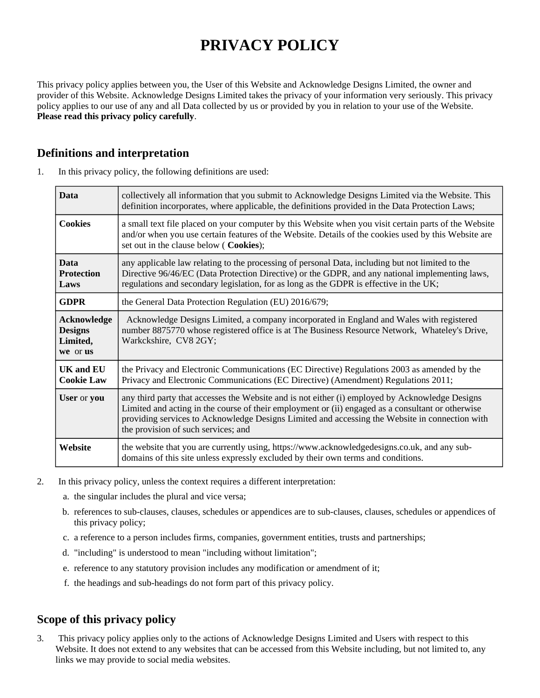# **PRIVACY POLICY**

This privacy policy applies between you, the User of this Website and Acknowledge Designs Limited, the owner and provider of this Website. Acknowledge Designs Limited takes the privacy of your information very seriously. This privacy policy applies to our use of any and all Data collected by us or provided by you in relation to your use of the Website. **Please read this privacy policy carefully**.

## **Definitions and interpretation**

| 1. | In this privacy policy, the following definitions are used: |  |  |  |  |
|----|-------------------------------------------------------------|--|--|--|--|
|----|-------------------------------------------------------------|--|--|--|--|

| <b>Data</b>                                                  | collectively all information that you submit to Acknowledge Designs Limited via the Website. This<br>definition incorporates, where applicable, the definitions provided in the Data Protection Laws;                                                                                                                                         |  |
|--------------------------------------------------------------|-----------------------------------------------------------------------------------------------------------------------------------------------------------------------------------------------------------------------------------------------------------------------------------------------------------------------------------------------|--|
| <b>Cookies</b>                                               | a small text file placed on your computer by this Website when you visit certain parts of the Website<br>and/or when you use certain features of the Website. Details of the cookies used by this Website are<br>set out in the clause below (Cookies);                                                                                       |  |
| <b>Data</b><br><b>Protection</b><br>Laws                     | any applicable law relating to the processing of personal Data, including but not limited to the<br>Directive 96/46/EC (Data Protection Directive) or the GDPR, and any national implementing laws,<br>regulations and secondary legislation, for as long as the GDPR is effective in the UK;                                                 |  |
| <b>GDPR</b>                                                  | the General Data Protection Regulation (EU) 2016/679;                                                                                                                                                                                                                                                                                         |  |
| <b>Acknowledge</b><br><b>Designs</b><br>Limited,<br>we or us | Acknowledge Designs Limited, a company incorporated in England and Wales with registered<br>number 8875770 whose registered office is at The Business Resource Network, Whateley's Drive,<br>Warkckshire, CV8 2GY;                                                                                                                            |  |
| <b>UK and EU</b><br><b>Cookie Law</b>                        | the Privacy and Electronic Communications (EC Directive) Regulations 2003 as amended by the<br>Privacy and Electronic Communications (EC Directive) (Amendment) Regulations 2011;                                                                                                                                                             |  |
| User or you                                                  | any third party that accesses the Website and is not either (i) employed by Acknowledge Designs<br>Limited and acting in the course of their employment or (ii) engaged as a consultant or otherwise<br>providing services to Acknowledge Designs Limited and accessing the Website in connection with<br>the provision of such services; and |  |
| Website                                                      | the website that you are currently using, https://www.acknowledgedesigns.co.uk, and any sub-<br>domains of this site unless expressly excluded by their own terms and conditions.                                                                                                                                                             |  |

- 2. In this privacy policy, unless the context requires a different interpretation:
	- a. the singular includes the plural and vice versa;
	- b. references to sub-clauses, clauses, schedules or appendices are to sub-clauses, clauses, schedules or appendices of this privacy policy;
	- c. a reference to a person includes firms, companies, government entities, trusts and partnerships;
	- d. "including" is understood to mean "including without limitation";
	- e. reference to any statutory provision includes any modification or amendment of it;
	- f. the headings and sub-headings do not form part of this privacy policy.

# **Scope of this privacy policy**

3. This privacy policy applies only to the actions of Acknowledge Designs Limited and Users with respect to this Website. It does not extend to any websites that can be accessed from this Website including, but not limited to, any links we may provide to social media websites.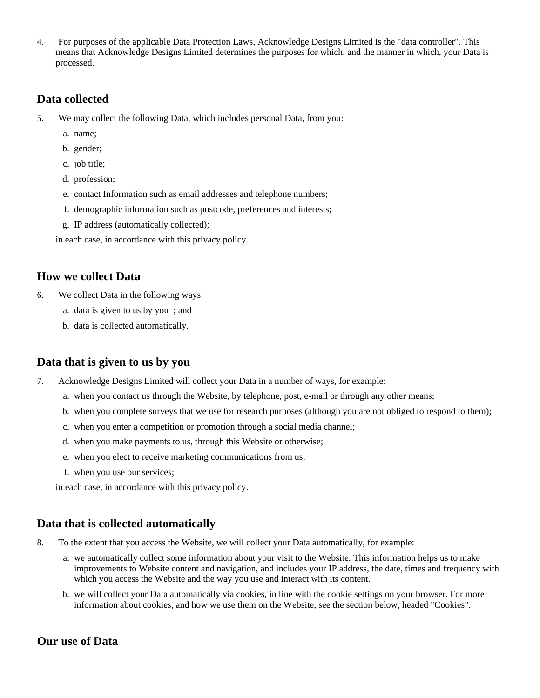4. For purposes of the applicable Data Protection Laws, Acknowledge Designs Limited is the "data controller". This means that Acknowledge Designs Limited determines the purposes for which, and the manner in which, your Data is processed.

#### **Data collected**

- 5. We may collect the following Data, which includes personal Data, from you:
	- a. name;
	- b. gender;
	- c. job title;
	- d. profession;
	- e. contact Information such as email addresses and telephone numbers;
	- f. demographic information such as postcode, preferences and interests;
	- g. IP address (automatically collected);

in each case, in accordance with this privacy policy.

#### **How we collect Data**

- 6. We collect Data in the following ways:
	- a. data is given to us by you ; and
	- b. data is collected automatically.

#### **Data that is given to us by you**

- 7. Acknowledge Designs Limited will collect your Data in a number of ways, for example:
	- a. when you contact us through the Website, by telephone, post, e-mail or through any other means;
	- b. when you complete surveys that we use for research purposes (although you are not obliged to respond to them);
	- c. when you enter a competition or promotion through a social media channel;
	- d. when you make payments to us, through this Website or otherwise;
	- e. when you elect to receive marketing communications from us;
	- f. when you use our services;

in each case, in accordance with this privacy policy.

#### **Data that is collected automatically**

- 8. To the extent that you access the Website, we will collect your Data automatically, for example:
	- a. we automatically collect some information about your visit to the Website. This information helps us to make improvements to Website content and navigation, and includes your IP address, the date, times and frequency with which you access the Website and the way you use and interact with its content.
	- b. we will collect your Data automatically via cookies, in line with the cookie settings on your browser. For more information about cookies, and how we use them on the Website, see the section below, headed "Cookies".

#### **Our use of Data**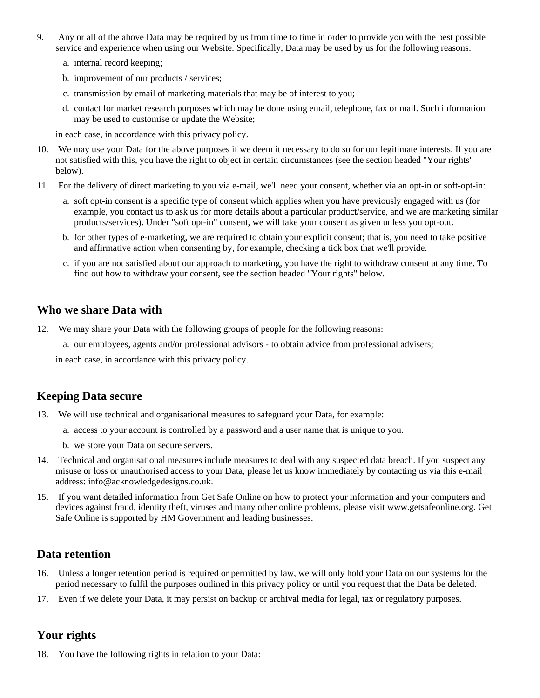- 9. Any or all of the above Data may be required by us from time to time in order to provide you with the best possible service and experience when using our Website. Specifically, Data may be used by us for the following reasons:
	- a. internal record keeping;
	- b. improvement of our products / services;
	- c. transmission by email of marketing materials that may be of interest to you;
	- d. contact for market research purposes which may be done using email, telephone, fax or mail. Such information may be used to customise or update the Website;

in each case, in accordance with this privacy policy.

- 10. We may use your Data for the above purposes if we deem it necessary to do so for our legitimate interests. If you are not satisfied with this, you have the right to object in certain circumstances (see the section headed "Your rights" below).
- 11. For the delivery of direct marketing to you via e-mail, we'll need your consent, whether via an opt-in or soft-opt-in:
	- a. soft opt-in consent is a specific type of consent which applies when you have previously engaged with us (for example, you contact us to ask us for more details about a particular product/service, and we are marketing similar products/services). Under "soft opt-in" consent, we will take your consent as given unless you opt-out.
	- b. for other types of e-marketing, we are required to obtain your explicit consent; that is, you need to take positive and affirmative action when consenting by, for example, checking a tick box that we'll provide.
	- c. if you are not satisfied about our approach to marketing, you have the right to withdraw consent at any time. To find out how to withdraw your consent, see the section headed "Your rights" below.

## **Who we share Data with**

- 12. We may share your Data with the following groups of people for the following reasons:
	- a. our employees, agents and/or professional advisors to obtain advice from professional advisers;

in each case, in accordance with this privacy policy.

## **Keeping Data secure**

- 13. We will use technical and organisational measures to safeguard your Data, for example:
	- a. access to your account is controlled by a password and a user name that is unique to you.
	- b. we store your Data on secure servers.
- 14. Technical and organisational measures include measures to deal with any suspected data breach. If you suspect any misuse or loss or unauthorised access to your Data, please let us know immediately by contacting us via this e-mail address: info@acknowledgedesigns.co.uk.
- 15. If you want detailed information from Get Safe Online on how to protect your information and your computers and devices against fraud, identity theft, viruses and many other online problems, please visit www.getsafeonline.org. Get Safe Online is supported by HM Government and leading businesses.

## **Data retention**

- 16. Unless a longer retention period is required or permitted by law, we will only hold your Data on our systems for the period necessary to fulfil the purposes outlined in this privacy policy or until you request that the Data be deleted.
- 17. Even if we delete your Data, it may persist on backup or archival media for legal, tax or regulatory purposes.

## **Your rights**

18. You have the following rights in relation to your Data: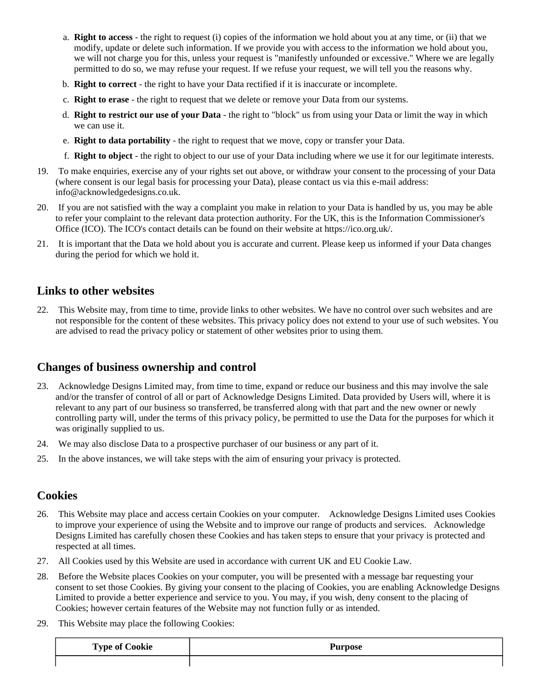- a. **Right to access** the right to request (i) copies of the information we hold about you at any time, or (ii) that we modify, update or delete such information. If we provide you with access to the information we hold about you, we will not charge you for this, unless your request is "manifestly unfounded or excessive." Where we are legally permitted to do so, we may refuse your request. If we refuse your request, we will tell you the reasons why.
- b. **Right to correct** the right to have your Data rectified if it is inaccurate or incomplete.
- c. **Right to erase** the right to request that we delete or remove your Data from our systems.
- d. **Right to restrict our use of your Data** the right to "block" us from using your Data or limit the way in which we can use it.
- e. **Right to data portability** the right to request that we move, copy or transfer your Data.
- f. **Right to object** the right to object to our use of your Data including where we use it for our legitimate interests.
- 19. To make enquiries, exercise any of your rights set out above, or withdraw your consent to the processing of your Data (where consent is our legal basis for processing your Data), please contact us via this e-mail address: info@acknowledgedesigns.co.uk.
- 20. If you are not satisfied with the way a complaint you make in relation to your Data is handled by us, you may be able to refer your complaint to the relevant data protection authority. For the UK, this is the Information Commissioner's Office (ICO). The ICO's contact details can be found on their website at https://ico.org.uk/.
- 21. It is important that the Data we hold about you is accurate and current. Please keep us informed if your Data changes during the period for which we hold it.

## **Links to other websites**

22. This Website may, from time to time, provide links to other websites. We have no control over such websites and are not responsible for the content of these websites. This privacy policy does not extend to your use of such websites. You are advised to read the privacy policy or statement of other websites prior to using them.

# **Changes of business ownership and control**

- 23. Acknowledge Designs Limited may, from time to time, expand or reduce our business and this may involve the sale and/or the transfer of control of all or part of Acknowledge Designs Limited. Data provided by Users will, where it is relevant to any part of our business so transferred, be transferred along with that part and the new owner or newly controlling party will, under the terms of this privacy policy, be permitted to use the Data for the purposes for which it was originally supplied to us.
- 24. We may also disclose Data to a prospective purchaser of our business or any part of it.
- 25. In the above instances, we will take steps with the aim of ensuring your privacy is protected.

#### **Cookies**

- 26. This Website may place and access certain Cookies on your computer. Acknowledge Designs Limited uses Cookies to improve your experience of using the Website and to improve our range of products and services. Acknowledge Designs Limited has carefully chosen these Cookies and has taken steps to ensure that your privacy is protected and respected at all times.
- 27. All Cookies used by this Website are used in accordance with current UK and EU Cookie Law.
- 28. Before the Website places Cookies on your computer, you will be presented with a message bar requesting your consent to set those Cookies. By giving your consent to the placing of Cookies, you are enabling Acknowledge Designs Limited to provide a better experience and service to you. You may, if you wish, deny consent to the placing of Cookies; however certain features of the Website may not function fully or as intended.
- 29. This Website may place the following Cookies:

| <b>Type of Cookie</b> | <b>Purpose</b> |
|-----------------------|----------------|
|                       |                |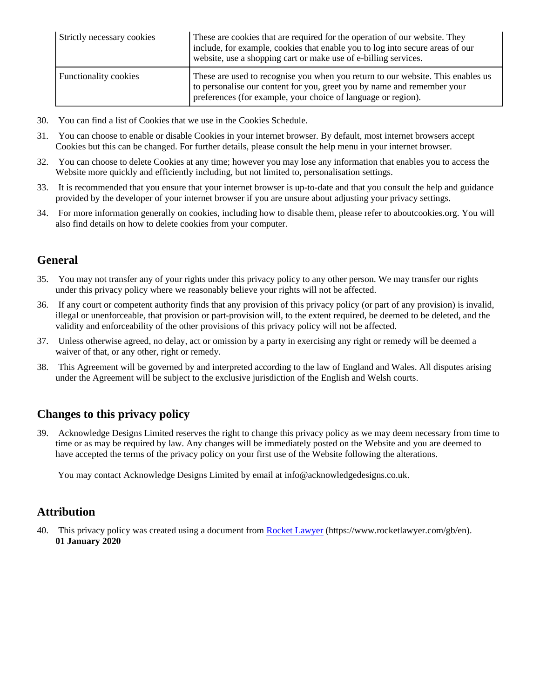| Strictly necessary cookies   | These are cookies that are required for the operation of our website. They<br>include, for example, cookies that enable you to log into secure areas of our<br>website, use a shopping cart or make use of e-billing services. |
|------------------------------|--------------------------------------------------------------------------------------------------------------------------------------------------------------------------------------------------------------------------------|
| <b>Functionality cookies</b> | These are used to recognise you when you return to our website. This enables us<br>to personalise our content for you, greet you by name and remember your<br>preferences (for example, your choice of language or region).    |

- 30. You can find a list of Cookies that we use in the Cookies Schedule.
- 31. You can choose to enable or disable Cookies in your internet browser. By default, most internet browsers accept Cookies but this can be changed. For further details, please consult the help menu in your internet browser.
- 32. You can choose to delete Cookies at any time; however you may lose any information that enables you to access the Website more quickly and efficiently including, but not limited to, personalisation settings.
- 33. It is recommended that you ensure that your internet browser is up-to-date and that you consult the help and guidance provided by the developer of your internet browser if you are unsure about adjusting your privacy settings.
- 34. For more information generally on cookies, including how to disable them, please refer to aboutcookies.org. You will also find details on how to delete cookies from your computer.

## **General**

- 35. You may not transfer any of your rights under this privacy policy to any other person. We may transfer our rights under this privacy policy where we reasonably believe your rights will not be affected.
- 36. If any court or competent authority finds that any provision of this privacy policy (or part of any provision) is invalid, illegal or unenforceable, that provision or part-provision will, to the extent required, be deemed to be deleted, and the validity and enforceability of the other provisions of this privacy policy will not be affected.
- 37. Unless otherwise agreed, no delay, act or omission by a party in exercising any right or remedy will be deemed a waiver of that, or any other, right or remedy.
- 38. This Agreement will be governed by and interpreted according to the law of England and Wales. All disputes arising under the Agreement will be subject to the exclusive jurisdiction of the English and Welsh courts.

## **Changes to this privacy policy**

39. Acknowledge Designs Limited reserves the right to change this privacy policy as we may deem necessary from time to time or as may be required by law. Any changes will be immediately posted on the Website and you are deemed to have accepted the terms of the privacy policy on your first use of the Website following the alterations.

You may contact Acknowledge Designs Limited by email at info@acknowledgedesigns.co.uk.

#### **Attribution**

40. This privacy policy was created using a document from [Rocket Lawyer](https://www.rocketlawyer.com/gb/en/) (https://www.rocketlawyer.com/gb/en). **01 January 2020**